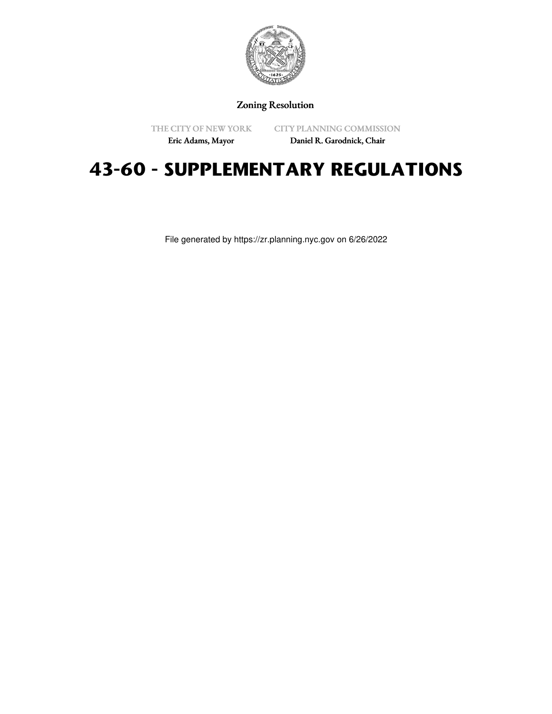

Zoning Resolution

THE CITY OF NEW YORK Eric Adams, Mayor

CITY PLANNING COMMISSION

Daniel R. Garodnick, Chair

# **43-60 - SUPPLEMENTARY REGULATIONS**

File generated by https://zr.planning.nyc.gov on 6/26/2022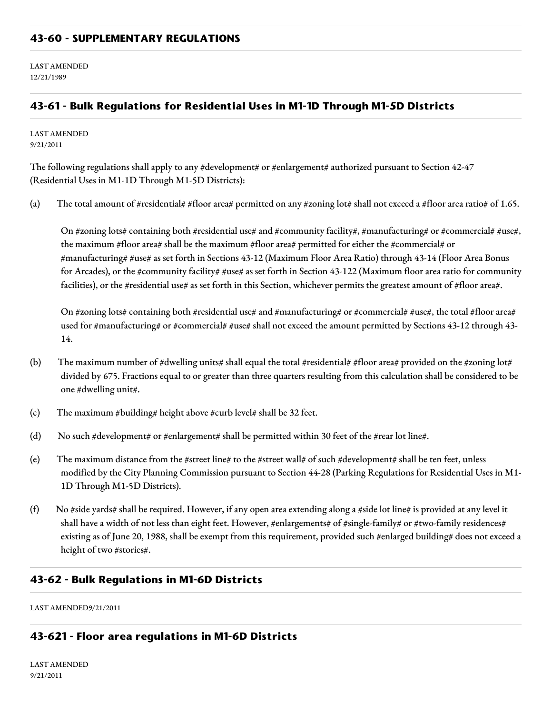#### **43-60 - SUPPLEMENTARY REGULATIONS**

LAST AMENDED 12/21/1989

# **43-61 - Bulk Regulations for Residential Uses in M1-1D Through M1-5D Districts**

LAST AMENDED 9/21/2011

The following regulations shall apply to any #development# or #enlargement# authorized pursuant to Section 42-47 (Residential Uses in M1-1D Through M1-5D Districts):

(a) The total amount of #residential# #floor area# permitted on any #zoning lot# shall not exceed a #floor area ratio# of 1.65.

On #zoning lots# containing both #residential use# and #community facility#, #manufacturing# or #commercial# #use#, the maximum #floor area# shall be the maximum #floor area# permitted for either the #commercial# or #manufacturing# #use# as set forth in Sections 43-12 (Maximum Floor Area Ratio) through 43-14 (Floor Area Bonus for Arcades), or the #community facility# #use# as set forth in Section 43-122 (Maximum floor area ratio for community facilities), or the #residential use# as set forth in this Section, whichever permits the greatest amount of #floor area#.

On #zoning lots# containing both #residential use# and #manufacturing# or #commercial# #use#, the total #floor area# used for #manufacturing# or #commercial# #use# shall not exceed the amount permitted by Sections 43-12 through 43-14.

- (b) The maximum number of #dwelling units# shall equal the total #residential# #floor area# provided on the #zoning lot# divided by 675. Fractions equal to or greater than three quarters resulting from this calculation shall be considered to be one #dwelling unit#.
- (c) The maximum #building# height above #curb level# shall be 32 feet.
- (d) No such #development# or #enlargement# shall be permitted within 30 feet of the #rear lot line#.
- (e) The maximum distance from the #street line# to the #street wall# of such #development# shall be ten feet, unless modified by the City Planning Commission pursuant to Section 44-28 (Parking Regulations for Residential Uses in M1- 1D Through M1-5D Districts).
- (f) No #side yards# shall be required. However, if any open area extending along a #side lot line# is provided at any level it shall have a width of not less than eight feet. However, #enlargements# of #single-family# or #two-family residences# existing as of June 20, 1988, shall be exempt from this requirement, provided such #enlarged building# does not exceed a height of two #stories#.

#### **43-62 - Bulk Regulations in M1-6D Districts**

LAST AMENDED9/21/2011

#### **43-621 - Floor area regulations in M1-6D Districts**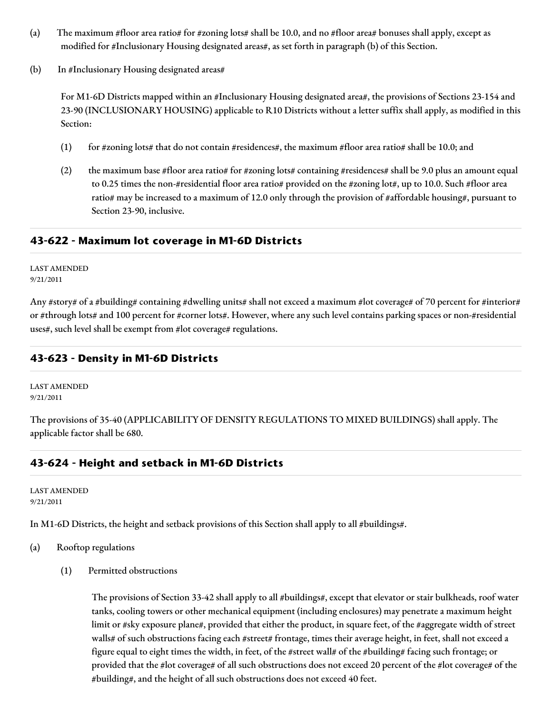- (a) The maximum #floor area ratio# for #zoning lots# shall be 10.0, and no #floor area# bonuses shall apply, except as modified for #Inclusionary Housing designated areas#, as set forth in paragraph (b) of this Section.
- (b) In #Inclusionary Housing designated areas#

For M1-6D Districts mapped within an #Inclusionary Housing designated area#, the provisions of Sections 23-154 and 23-90 (INCLUSIONARY HOUSING) applicable to R10 Districts without a letter suffix shall apply, as modified in this Section:

- (1) for #zoning lots# that do not contain #residences#, the maximum #floor area ratio# shall be 10.0; and
- (2) the maximum base #floor area ratio# for #zoning lots# containing #residences# shall be 9.0 plus an amount equal to 0.25 times the non-#residential floor area ratio# provided on the #zoning lot#, up to 10.0. Such #floor area ratio# may be increased to a maximum of 12.0 only through the provision of #affordable housing#, pursuant to Section 23-90, inclusive.

# **43-622 - Maximum lot coverage in M1-6D Districts**

LAST AMENDED 9/21/2011

Any #story# of a #building# containing #dwelling units# shall not exceed a maximum #lot coverage# of 70 percent for #interior# or #through lots# and 100 percent for #corner lots#. However, where any such level contains parking spaces or non-#residential uses#, such level shall be exempt from #lot coverage# regulations.

# **43-623 - Density in M1-6D Districts**

LAST AMENDED 9/21/2011

The provisions of 35-40 (APPLICABILITY OF DENSITY REGULATIONS TO MIXED BUILDINGS) shall apply. The applicable factor shall be 680.

# **43-624 - Height and setback in M1-6D Districts**

LAST AMENDED 9/21/2011

In M1-6D Districts, the height and setback provisions of this Section shall apply to all #buildings#.

- (a) Rooftop regulations
	- (1) Permitted obstructions

The provisions of Section 33-42 shall apply to all #buildings#, except that elevator or stair bulkheads, roof water tanks, cooling towers or other mechanical equipment (including enclosures) may penetrate a maximum height limit or #sky exposure plane#, provided that either the product, in square feet, of the #aggregate width of street walls# of such obstructions facing each #street# frontage, times their average height, in feet, shall not exceed a figure equal to eight times the width, in feet, of the #street wall# of the #building# facing such frontage; or provided that the #lot coverage# of all such obstructions does not exceed 20 percent of the #lot coverage# of the #building#, and the height of all such obstructions does not exceed 40 feet.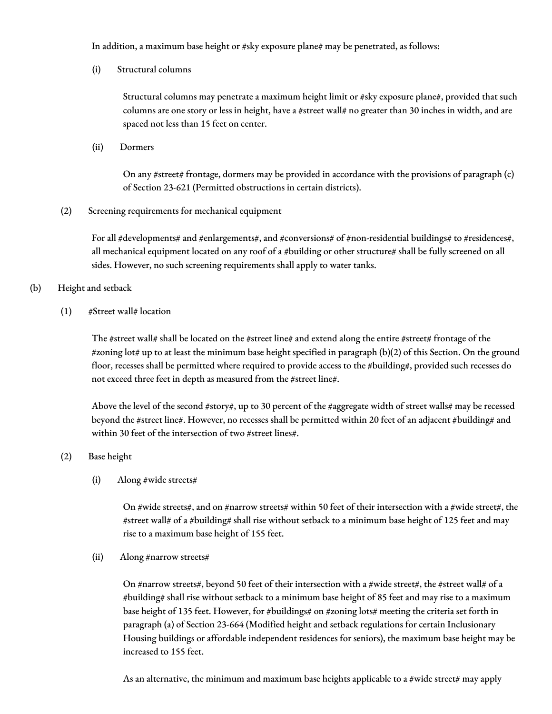In addition, a maximum base height or #sky exposure plane# may be penetrated, as follows:

(i) Structural columns

Structural columns may penetrate a maximum height limit or #sky exposure plane#, provided that such columns are one story or less in height, have a #street wall# no greater than 30 inches in width, and are spaced not less than 15 feet on center.

(ii) Dormers

On any #street# frontage, dormers may be provided in accordance with the provisions of paragraph (c) of Section 23-621 (Permitted obstructions in certain districts).

(2) Screening requirements for mechanical equipment

For all #developments# and #enlargements#, and #conversions# of #non-residential buildings# to #residences#, all mechanical equipment located on any roof of a #building or other structure# shall be fully screened on all sides. However, no such screening requirements shall apply to water tanks.

(b) Height and setback

(1) #Street wall# location

The #street wall# shall be located on the #street line# and extend along the entire #street# frontage of the #zoning lot# up to at least the minimum base height specified in paragraph (b)(2) of this Section. On the ground floor, recesses shall be permitted where required to provide access to the #building#, provided such recesses do not exceed three feet in depth as measured from the #street line#.

Above the level of the second #story#, up to 30 percent of the #aggregate width of street walls# may be recessed beyond the #street line#. However, no recesses shall be permitted within 20 feet of an adjacent #building# and within 30 feet of the intersection of two #street lines#.

(2) Base height

(i) Along #wide streets#

On #wide streets#, and on #narrow streets# within 50 feet of their intersection with a #wide street#, the #street wall# of a #building# shall rise without setback to a minimum base height of 125 feet and may rise to a maximum base height of 155 feet.

(ii) Along #narrow streets#

On #narrow streets#, beyond 50 feet of their intersection with a #wide street#, the #street wall# of a #building# shall rise without setback to a minimum base height of 85 feet and may rise to a maximum base height of 135 feet. However, for #buildings# on #zoning lots# meeting the criteria set forth in paragraph (a) of Section 23-664 (Modified height and setback regulations for certain Inclusionary Housing buildings or affordable independent residences for seniors), the maximum base height may be increased to 155 feet.

As an alternative, the minimum and maximum base heights applicable to a #wide street# may apply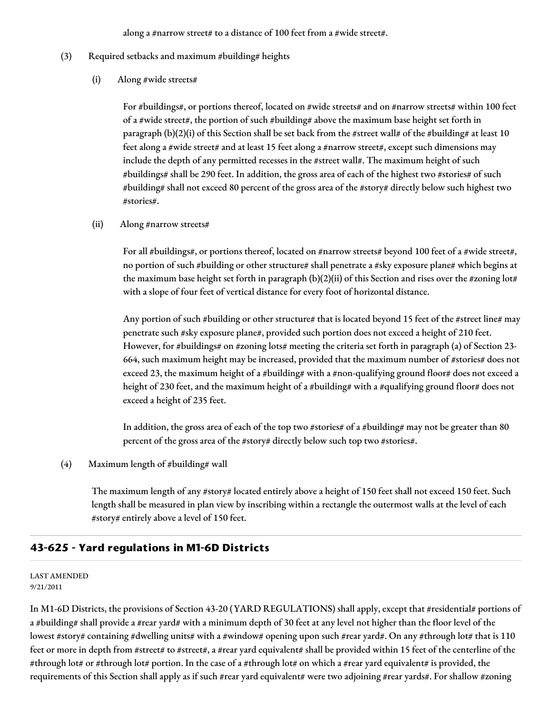along a #narrow street# to a distance of 100 feet from a #wide street#.

- (3) Required setbacks and maximum #building# heights
	- (i) Along #wide streets#

For #buildings#, or portions thereof, located on #wide streets# and on #narrow streets# within 100 feet of a #wide street#, the portion of such #building# above the maximum base height set forth in paragraph (b)(2)(i) of this Section shall be set back from the #street wall# of the #building# at least 10 feet along a #wide street# and at least 15 feet along a #narrow street#, except such dimensions may include the depth of any permitted recesses in the #street wall#. The maximum height of such #buildings# shall be 290 feet. In addition, the gross area of each of the highest two #stories# of such #building# shall not exceed 80 percent of the gross area of the #story# directly below such highest two #stories#.

(ii) Along #narrow streets#

For all #buildings#, or portions thereof, located on #narrow streets# beyond 100 feet of a #wide street#, no portion of such #building or other structure# shall penetrate a #sky exposure plane# which begins at the maximum base height set forth in paragraph (b)(2)(ii) of this Section and rises over the #zoning lot# with a slope of four feet of vertical distance for every foot of horizontal distance.

Any portion of such #building or other structure# that is located beyond 15 feet of the #street line# may penetrate such #sky exposure plane#, provided such portion does not exceed a height of 210 feet. However, for #buildings# on #zoning lots# meeting the criteria set forth in paragraph (a) of Section 23-664, such maximum height may be increased, provided that the maximum number of #stories# does not exceed 23, the maximum height of a #building# with a #non-qualifying ground floor# does not exceed a height of 230 feet, and the maximum height of a #building# with a #qualifying ground floor# does not exceed a height of 235 feet.

In addition, the gross area of each of the top two #stories# of a #building# may not be greater than 80 percent of the gross area of the #story# directly below such top two #stories#.

(4) Maximum length of #building# wall

The maximum length of any #story# located entirely above a height of 150 feet shall not exceed 150 feet. Such length shall be measured in plan view by inscribing within a rectangle the outermost walls at the level of each #story# entirely above a level of 150 feet.

# **43-625 - Yard regulations in M1-6D Districts**

#### LAST AMENDED 9/21/2011

In M1-6D Districts, the provisions of Section 43-20 (YARD REGULATIONS) shall apply, except that #residential# portions of a #building# shall provide a #rear yard# with a minimum depth of 30 feet at any level not higher than the floor level of the lowest #story# containing #dwelling units# with a #window# opening upon such #rear yard#. On any #through lot# that is 110 feet or more in depth from #street# to #street#, a #rear yard equivalent# shall be provided within 15 feet of the centerline of the #through lot# or #through lot# portion. In the case of a #through lot# on which a #rear yard equivalent# is provided, the requirements of this Section shall apply as if such #rear yard equivalent# were two adjoining #rear yards#. For shallow #zoning